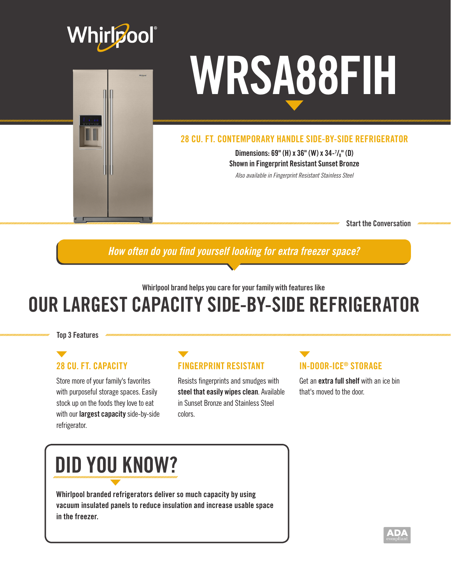



#### 28 CU. FT. CONTEMPORARY HANDLE SIDE-BY-SIDE REFRIGERATOR

Dimensions: 69" (H) x 36" (W) x 34-7 /8" (D) Shown in Fingerprint Resistant Sunset Bronze

*Also available in Fingerprint Resistant Stainless Steel*

Start the Conversation

*How often do you find yourself looking for extra freezer space?*

Whirlpool brand helps you care for your family with features like

# OUR LARGEST CAPACITY SIDE-BY-SIDE REFRIGERATOR

Top 3 Features

## 28 CU. FT. CAPACITY

Store more of your family's favorites with purposeful storage spaces. Easily stock up on the foods they love to eat with our **largest capacity** side-by-side refrigerator.

## FINGERPRINT RESISTANT

Resists fingerprints and smudges with steel that easily wipes clean. Available in Sunset Bronze and Stainless Steel colors.

#### IN-DOOR-ICE® STORAGE

Get an extra full shelf with an ice bin that's moved to the door.

# DID YOU KNOW?

Whirlpool branded refrigerators deliver so much capacity by using vacuum insulated panels to reduce insulation and increase usable space in the freezer.